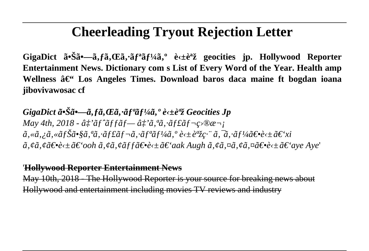## **Cheerleading Tryout Rejection Letter**

GigaDict  $\tilde{a} \cdot \tilde{S} \tilde{a} \cdot -\tilde{a} \cdot f \tilde{a} \cdot \tilde{E} \tilde{a} \cdot \tilde{a} f^2 \tilde{a} f^3 \tilde{a} \cdot \tilde{e}^* \tilde{e}^* \tilde{z}$  geocities jp. Hollywood Reporter **Entertainment News. Dictionary com s List of Every Word of the Year. Health amp** Wellness – Los Angeles Times. Download baros daca maine ft bogdan ioana **jibovivawosac cf**

*GigaDict*  $\tilde{a} \cdot \tilde{S} \tilde{a} \cdot -\tilde{a} f \tilde{a}$ ,  $E \tilde{a} \cdot \tilde{a} f^a \tilde{a} f^b \tilde{a} \tilde{a} \cdot \tilde{e} \cdot \pm \tilde{e}^a \tilde{z}$  Geocities Jp *May 4th, 2018 -*  $\hat{a}_\perp^+ \tilde{a}$ *f*  $\tilde{a}$ ff $\tilde{a}$ f— $\hat{a}_\perp^+ \tilde{a}$ ,  $\tilde{a}$ ,  $\tilde{a}$ f $\tilde{a}$ f $\tilde{a}$ f $\tilde{-}$ c $\infty$  $\mathbb{R}$  $\tilde{-}$ i  $\tilde{a}.$ « $\tilde{a}.i\tilde{a}.$ « $\tilde{a}$ fŠ $\tilde{a}$ •§ $\tilde{a}.$ « $\tilde{a}$ f£ $\tilde{a}$ f $\tilde{a}$ ,  $\tilde{a}$ f $\tilde{a}$ f $\tilde{a}$ ,  $\tilde{a}$ ,  $\tilde{a}$   $\tilde{a}$ ,  $\tilde{a}$ ,  $\tilde{a}$ f $\tilde{a}$  $\tilde{a}$  $\tilde{b}$   $\tilde{c}$   $\tilde{c}$   $\tilde{c}$   $\tilde{x}$   $\$  $\tilde{a}$ , ¢ã, ¢ã<del>€•</del>è<±ã€'ooh ã, ¢ã, ¢ãf f〕è<±ã€'aak Augh ã, ¢ã,¤ã, ¤ã€•è<±ã€'aye Aye'

## '**Hollywood Reporter Entertainment News**

May 10th, 2018 - The Hollywood Reporter is your source for breaking news about Hollywood and entertainment including movies TV reviews and industry